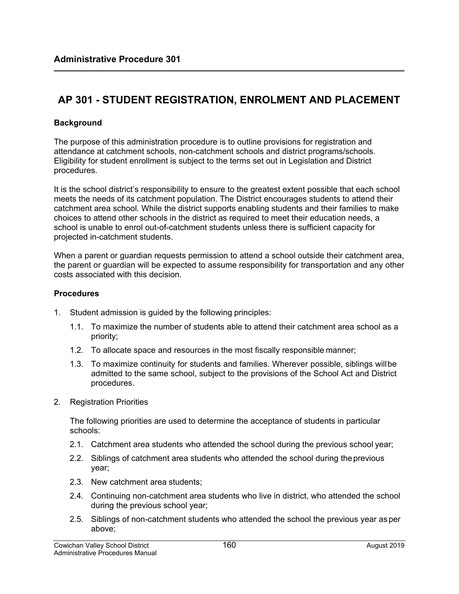## **AP 301 - STUDENT REGISTRATION, ENROLMENT AND PLACEMENT**

## **Background**

The purpose of this administration procedure is to outline provisions for registration and attendance at catchment schools, non-catchment schools and district programs/schools. Eligibility for student enrollment is subject to the terms set out in Legislation and District procedures.

It is the school district's responsibility to ensure to the greatest extent possible that each school meets the needs of its catchment population. The District encourages students to attend their catchment area school. While the district supports enabling students and their families to make choices to attend other schools in the district as required to meet their education needs, a school is unable to enrol out-of-catchment students unless there is sufficient capacity for projected in-catchment students.

When a parent or guardian requests permission to attend a school outside their catchment area, the parent or guardian will be expected to assume responsibility for transportation and any other costs associated with this decision.

## **Procedures**

- 1. Student admission is guided by the following principles:
	- 1.1. To maximize the number of students able to attend their catchment area school as a priority;
	- 1.2. To allocate space and resources in the most fiscally responsible manner;
	- 1.3. To maximize continuity for students and families. Wherever possible, siblings will be admitted to the same school, subject to the provisions of the School Act and District procedures.
- 2. Registration Priorities

The following priorities are used to determine the acceptance of students in particular schools:

- 2.1. Catchment area students who attended the school during the previous school year;
- 2.2. Siblings of catchment area students who attended the school during the previous year;
- 2.3. New catchment area students;
- 2.4. Continuing non-catchment area students who live in district, who attended the school during the previous school year;
- 2.5. Siblings of non-catchment students who attended the school the previous year as per above;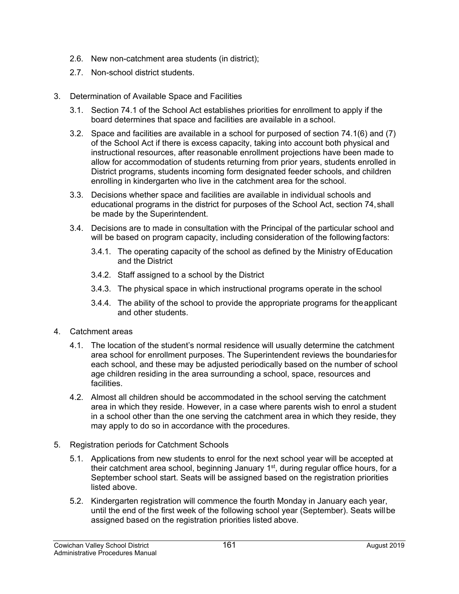- 2.6. New non-catchment area students (in district);
- 2.7. Non-school district students.
- 3. Determination of Available Space and Facilities
	- 3.1. Section 74.1 of the School Act establishes priorities for enrollment to apply if the board determines that space and facilities are available in a school.
	- 3.2. Space and facilities are available in a school for purposed of section 74.1(6) and (7) of the School Act if there is excess capacity, taking into account both physical and instructional resources, after reasonable enrollment projections have been made to allow for accommodation of students returning from prior years, students enrolled in District programs, students incoming form designated feeder schools, and children enrolling in kindergarten who live in the catchment area for the school.
	- 3.3. Decisions whether space and facilities are available in individual schools and educational programs in the district for purposes of the School Act, section 74, shall be made by the Superintendent.
	- 3.4. Decisions are to made in consultation with the Principal of the particular school and will be based on program capacity, including consideration of the following factors:
		- 3.4.1. The operating capacity of the school as defined by the Ministry of Education and the District
		- 3.4.2. Staff assigned to a school by the District
		- 3.4.3. The physical space in which instructional programs operate in the school
		- 3.4.4. The ability of the school to provide the appropriate programs for the applicant and other students.
- 4. Catchment areas
	- 4.1. The location of the student's normal residence will usually determine the catchment area school for enrollment purposes. The Superintendent reviews the boundaries for each school, and these may be adjusted periodically based on the number of school age children residing in the area surrounding a school, space, resources and facilities.
	- 4.2. Almost all children should be accommodated in the school serving the catchment area in which they reside. However, in a case where parents wish to enrol a student in a school other than the one serving the catchment area in which they reside, they may apply to do so in accordance with the procedures.
- 5. Registration periods for Catchment Schools
	- 5.1. Applications from new students to enrol for the next school year will be accepted at their catchment area school, beginning January 1<sup>st</sup>, during regular office hours, for a September school start. Seats will be assigned based on the registration priorities listed above.
	- 5.2. Kindergarten registration will commence the fourth Monday in January each year, until the end of the first week of the following school year (September). Seats will be assigned based on the registration priorities listed above.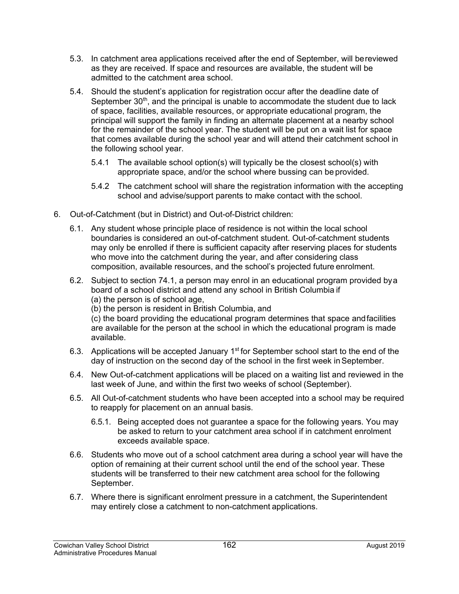- 5.3. In catchment area applications received after the end of September, will be reviewed as they are received. If space and resources are available, the student will be admitted to the catchment area school.
- 5.4. Should the student's application for registration occur after the deadline date of September  $30<sup>th</sup>$ , and the principal is unable to accommodate the student due to lack of space, facilities, available resources, or appropriate educational program, the principal will support the family in finding an alternate placement at a nearby school for the remainder of the school year. The student will be put on a wait list for space that comes available during the school year and will attend their catchment school in the following school year.
	- 5.4.1 The available school option(s) will typically be the closest school(s) with appropriate space, and/or the school where bussing can be provided.
	- 5.4.2 The catchment school will share the registration information with the accepting school and advise/support parents to make contact with the school.
- 6. Out-of-Catchment (but in District) and Out-of-District children:
	- 6.1. Any student whose principle place of residence is not within the local school boundaries is considered an out-of-catchment student. Out-of-catchment students may only be enrolled if there is sufficient capacity after reserving places for students who move into the catchment during the year, and after considering class composition, available resources, and the school's projected future enrolment.
	- 6.2. Subject to section 74.1, a person may enrol in an educational program provided by a board of a school district and attend any school in British Columbia if (a) the person is of school age,
		- (b) the person is resident in British Columbia, and

(c) the board providing the educational program determines that space and facilities are available for the person at the school in which the educational program is made available.

- 6.3. Applications will be accepted January  $1<sup>st</sup>$  for September school start to the end of the day of instruction on the second day of the school in the first week in September.
- 6.4. New Out-of-catchment applications will be placed on a waiting list and reviewed in the last week of June, and within the first two weeks of school (September).
- 6.5. All Out-of-catchment students who have been accepted into a school may be required to reapply for placement on an annual basis.
	- 6.5.1. Being accepted does not guarantee a space for the following years. You may be asked to return to your catchment area school if in catchment enrolment exceeds available space.
- 6.6. Students who move out of a school catchment area during a school year will have the option of remaining at their current school until the end of the school year. These students will be transferred to their new catchment area school for the following September.
- 6.7. Where there is significant enrolment pressure in a catchment, the Superintendent may entirely close a catchment to non-catchment applications.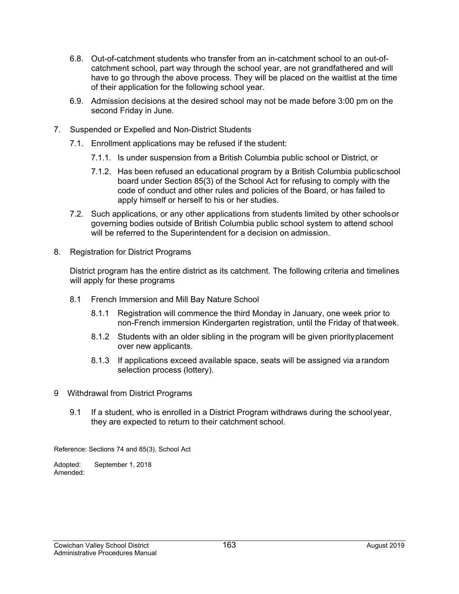- 6.8. Out-of-catchment students who transfer from an in-catchment school to an out-ofcatchment school, part way through the school year, are not grandfathered and will have to go through the above process. They will be placed on the waitlist at the time of their application for the following school year.
- 6.9. Admission decisions at the desired school may not be made before 3:00 pm on the second Friday in June.
- 7. Suspended or Expelled and Non-District Students
	- 7.1. Enrollment applications may be refused if the student:
		- 7.1.1. Is under suspension from a British Columbia public school or District, or
		- 7.1.2. Has been refused an educational program by a British Columbia public school board under Section 85(3) of the School Act for refusing to comply with the code of conduct and other rules and policies of the Board, or has failed to apply himself or herself to his or her studies.
	- 7.2. Such applications, or any other applications from students limited by other schools or governing bodies outside of British Columbia public school system to attend school will be referred to the Superintendent for a decision on admission.
- 8. Registration for District Programs

District program has the entire district as its catchment. The following criteria and timelines will apply for these programs

- 8.1 French Immersion and Mill Bay Nature School
	- 8.1.1 Registration will commence the third Monday in January, one week prior to non-French immersion Kindergarten registration, until the Friday of that week.
	- 8.1.2 Students with an older sibling in the program will be given priority placement over new applicants.
	- 8.1.3 If applications exceed available space, seats will be assigned via a random selection process (lottery).
- 9 Withdrawal from District Programs
	- 9.1 If a student, who is enrolled in a District Program withdraws during the school year, they are expected to return to their catchment school.

Reference: Sections 74 and 85(3), School Act

Adopted: September 1, 2018 Amended: